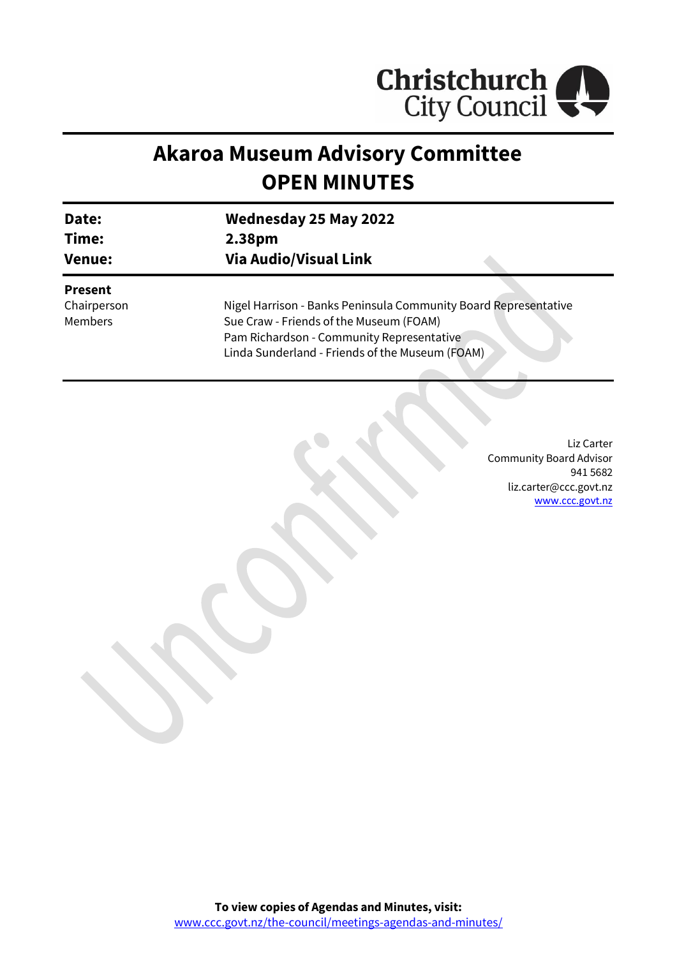

# **Akaroa Museum Advisory Committee OPEN MINUTES**

| Date:                                           | <b>Wednesday 25 May 2022</b>                                                                                                                                                                               |
|-------------------------------------------------|------------------------------------------------------------------------------------------------------------------------------------------------------------------------------------------------------------|
| Time:                                           | 2.38pm                                                                                                                                                                                                     |
| Venue:                                          | <b>Via Audio/Visual Link</b>                                                                                                                                                                               |
| <b>Present</b><br>Chairperson<br><b>Members</b> | Nigel Harrison - Banks Peninsula Community Board Representative<br>Sue Craw - Friends of the Museum (FOAM)<br>Pam Richardson - Community Representative<br>Linda Sunderland - Friends of the Museum (FOAM) |

Liz Carter Community Board Advisor 941 5682 liz.carter@ccc.govt.nz [www.ccc.govt.nz](http://www.ccc.govt.nz/)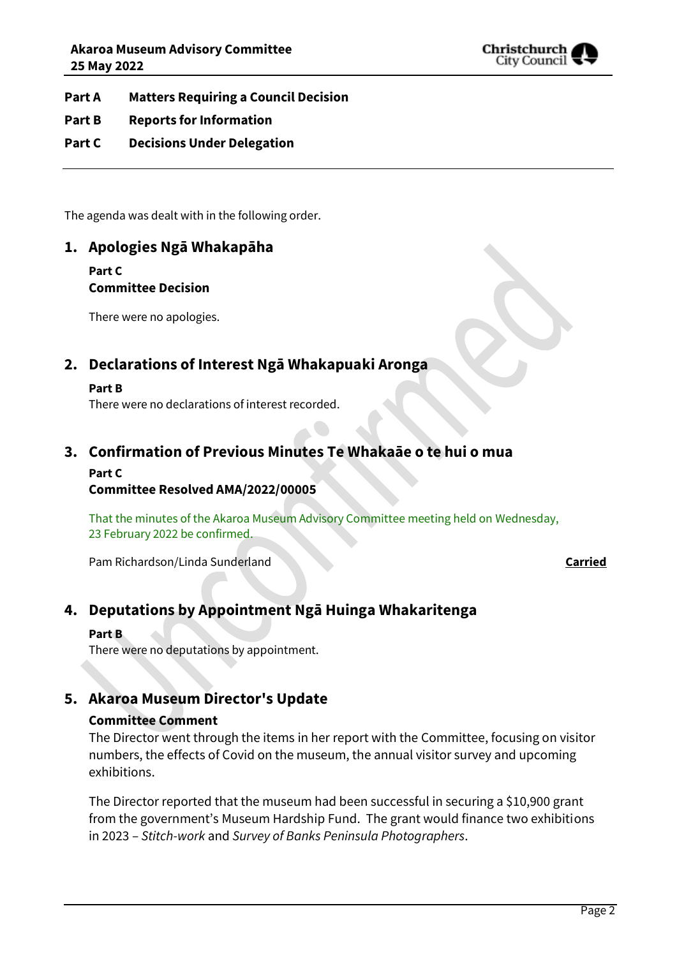

- **Part A Matters Requiring a Council Decision**
- **Part B Reports for Information**
- **Part C Decisions Under Delegation**

The agenda was dealt with in the following order.

# **1. Apologies Ngā Whakapāha**

**Part C** 

# **Committee Decision**

There were no apologies.

# **2. Declarations of Interest Ngā Whakapuaki Aronga**

#### **Part B**

There were no declarations of interest recorded.

## **3. Confirmation of Previous Minutes Te Whakaāe o te hui o mua**

#### **Part C**

#### **Committee Resolved AMA/2022/00005**

That the minutes of the Akaroa Museum Advisory Committee meeting held on Wednesday, 23 February 2022 be confirmed.

Pam Richardson/Linda Sunderland **Carried**

# **4. Deputations by Appointment Ngā Huinga Whakaritenga**

#### **Part B**

There were no deputations by appointment.

# **5. Akaroa Museum Director's Update**

### **Committee Comment**

The Director went through the items in her report with the Committee, focusing on visitor numbers, the effects of Covid on the museum, the annual visitor survey and upcoming exhibitions.

The Director reported that the museum had been successful in securing a \$10,900 grant from the government's Museum Hardship Fund. The grant would finance two exhibitions in 2023 – *Stitch-work* and *Survey of Banks Peninsula Photographers*.